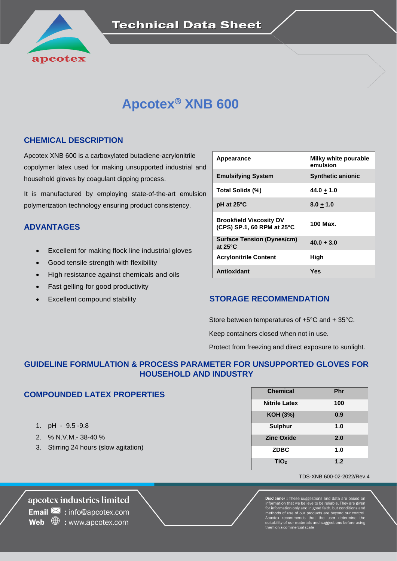

# **Apcotex XNB 600**

### **CHEMICAL DESCRIPTION**

Apcotex XNB 600 is a carboxylated butadiene-acrylonitrile copolymer latex used for making unsupported industrial and household gloves by coagulant dipping process.

It is manufactured by employing state-of-the-art emulsion polymerization technology ensuring product consistency.

## **ADVANTAGES**

- Excellent for making flock line industrial gloves
- Good tensile strength with flexibility
- High resistance against chemicals and oils
- Fast gelling for good productivity
- 

| Appearance                                                   | Milky white pourable<br>emulsion |
|--------------------------------------------------------------|----------------------------------|
| <b>Emulsifying System</b>                                    | <b>Synthetic anionic</b>         |
| Total Solids (%)                                             | $44.0 + 1.0$                     |
| pH at 25°C                                                   | $8.0 + 1.0$                      |
| <b>Brookfield Viscosity DV</b><br>(CPS) SP.1, 60 RPM at 25°C | 100 Max.                         |
| <b>Surface Tension (Dynes/cm)</b><br>at $25^{\circ}$ C       | $40.0 + 3.0$                     |
| <b>Acrylonitrile Content</b>                                 | High                             |
| Antioxidant                                                  | Yes                              |

### • Excellent compound stability **STORAGE RECOMMENDATION**

Store between temperatures of +5°C and + 35°C.

Keep containers closed when not in use.

Protect from freezing and direct exposure to sunlight.

# **GUIDELINE FORMULATION & PROCESS PARAMETER FOR UNSUPPORTED GLOVES FOR HOUSEHOLD AND INDUSTRY**

### **COMPOUNDED LATEX PROPERTIES**

- 1. pH 9.5 -9.8
- 2. % N.V.M.- 38-40 %
- 3. Stirring 24 hours (slow agitation)

| <b>Chemical</b>      | Phr |
|----------------------|-----|
| <b>Nitrile Latex</b> | 100 |
| <b>KOH (3%)</b>      | 0.9 |
| <b>Sulphur</b>       | 1.0 |
| <b>Zinc Oxide</b>    | 2.0 |
| <b>ZDBC</b>          | 1.0 |
| TiO <sub>2</sub>     | 1.2 |

#### TDS-XNB 600-02-2022/Rev.4

apcotex industries limited **Email**  $\mathbf{\times}$  : info@apcotex.com **Web**  $\oplus$  : www.apcotex.com

**Disclaimer :** These suggestions and data are based on<br>information that we believe to be reliable. They are given<br>for information only and in good faith, but conditions and<br>methods of use of our products are beyond our con ability of our materials and sug